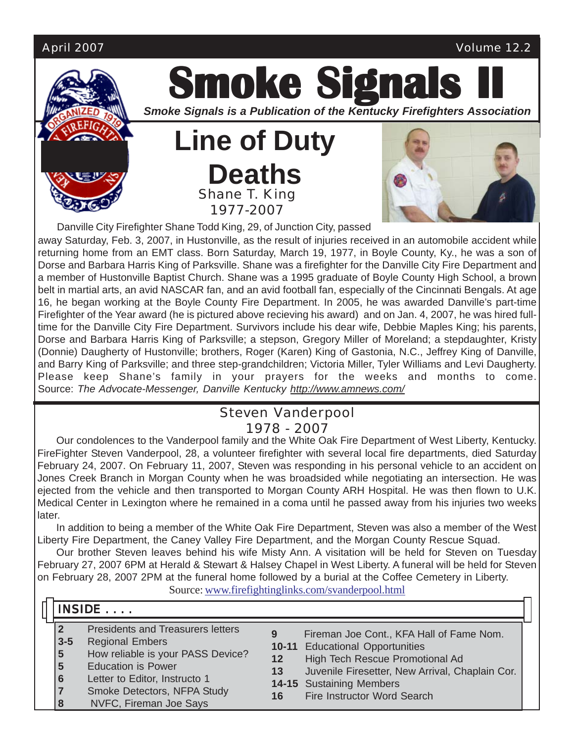

**Smoke Signals** *Smoke Signals is a Publication of the Kentucky Firefighters Association*

**Line of Duty Deaths** Shane T. King 1977-2007



Danville City Firefighter Shane Todd King, 29, of Junction City, passed

away Saturday, Feb. 3, 2007, in Hustonville, as the result of injuries received in an automobile accident while returning home from an EMT class. Born Saturday, March 19, 1977, in Boyle County, Ky., he was a son of Dorse and Barbara Harris King of Parksville. Shane was a firefighter for the Danville City Fire Department and a member of Hustonville Baptist Church. Shane was a 1995 graduate of Boyle County High School, a brown belt in martial arts, an avid NASCAR fan, and an avid football fan, especially of the Cincinnati Bengals. At age 16, he began working at the Boyle County Fire Department. In 2005, he was awarded Danville's part-time Firefighter of the Year award (he is pictured above recieving his award) and on Jan. 4, 2007, he was hired fulltime for the Danville City Fire Department. Survivors include his dear wife, Debbie Maples King; his parents, Dorse and Barbara Harris King of Parksville; a stepson, Gregory Miller of Moreland; a stepdaughter, Kristy (Donnie) Daugherty of Hustonville; brothers, Roger (Karen) King of Gastonia, N.C., Jeffrey King of Danville, and Barry King of Parksville; and three step-grandchildren; Victoria Miller, Tyler Williams and Levi Daugherty. Please keep Shane's family in your prayers for the weeks and months to come. Source: *The Advocate-Messenger, Danville Kentucky http://www.amnews.com/*

### Steven Vanderpool 1978 - 2007

Our condolences to the Vanderpool family and the White Oak Fire Department of West Liberty, Kentucky. FireFighter Steven Vanderpool, 28, a volunteer firefighter with several local fire departments, died Saturday February 24, 2007. On February 11, 2007, Steven was responding in his personal vehicle to an accident on Jones Creek Branch in Morgan County when he was broadsided while negotiating an intersection. He was ejected from the vehicle and then transported to Morgan County ARH Hospital. He was then flown to U.K. Medical Center in Lexington where he remained in a coma until he passed away from his injuries two weeks later.

In addition to being a member of the White Oak Fire Department, Steven was also a member of the West Liberty Fire Department, the Caney Valley Fire Department, and the Morgan County Rescue Squad.

Our brother Steven leaves behind his wife Misty Ann. A visitation will be held for Steven on Tuesday February 27, 2007 6PM at Herald & Stewart & Halsey Chapel in West Liberty. A funeral will be held for Steven on February 28, 2007 2PM at the funeral home followed by a burial at the Coffee Cemetery in Liberty.

Source: www.firefightinglinks.com/svanderpool.html

## INSIDE . . . . .

- **2** Presidents and Treasurers letters
- **3-5** Regional Embers
- **5** How reliable is your PASS Device?
- **5** Education is Power
- **6** Letter to Editor, Instructo 1
- **7** Smoke Detectors, NFPA Study
- **8** NVFC, Fireman Joe Says
- **9** Fireman Joe Cont., KFA Hall of Fame Nom.
- **10-11** Educational Opportunities
- **12** High Tech Rescue Promotional Ad
- **13** Juvenile Firesetter, New Arrival, Chaplain Cor.
- **14-15** Sustaining Members
- **16** Fire Instructor Word Search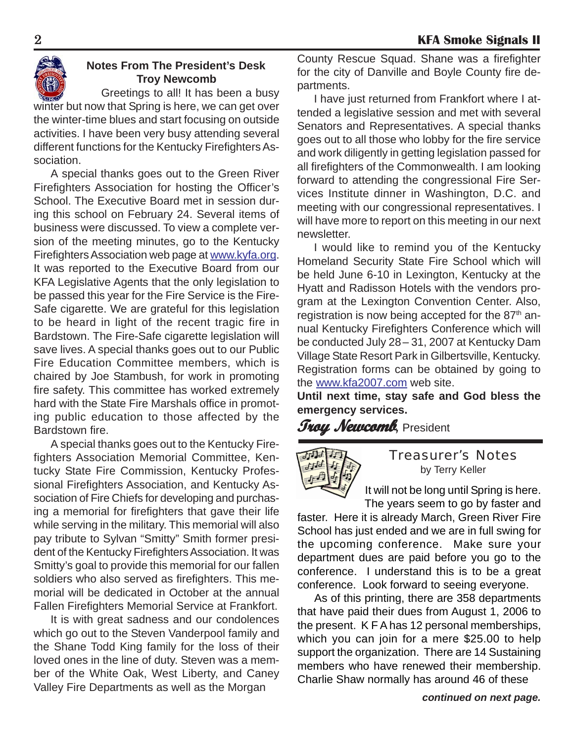

### **Notes From The President's Desk Troy Newcomb**

Greetings to all! It has been a busy

winter but now that Spring is here, we can get over the winter-time blues and start focusing on outside activities. I have been very busy attending several different functions for the Kentucky Firefighters Association.

A special thanks goes out to the Green River Firefighters Association for hosting the Officer's School. The Executive Board met in session during this school on February 24. Several items of business were discussed. To view a complete version of the meeting minutes, go to the Kentucky Firefighters Association web page at www.kyfa.org. It was reported to the Executive Board from our KFA Legislative Agents that the only legislation to be passed this year for the Fire Service is the Fire-Safe cigarette. We are grateful for this legislation to be heard in light of the recent tragic fire in Bardstown. The Fire-Safe cigarette legislation will save lives. A special thanks goes out to our Public Fire Education Committee members, which is chaired by Joe Stambush, for work in promoting fire safety. This committee has worked extremely hard with the State Fire Marshals office in promoting public education to those affected by the Bardstown fire.

A special thanks goes out to the Kentucky Firefighters Association Memorial Committee, Kentucky State Fire Commission, Kentucky Professional Firefighters Association, and Kentucky Association of Fire Chiefs for developing and purchasing a memorial for firefighters that gave their life while serving in the military. This memorial will also pay tribute to Sylvan "Smitty" Smith former president of the Kentucky Firefighters Association. It was Smitty's goal to provide this memorial for our fallen soldiers who also served as firefighters. This memorial will be dedicated in October at the annual Fallen Firefighters Memorial Service at Frankfort.

It is with great sadness and our condolences which go out to the Steven Vanderpool family and the Shane Todd King family for the loss of their loved ones in the line of duty. Steven was a member of the White Oak, West Liberty, and Caney Valley Fire Departments as well as the Morgan

County Rescue Squad. Shane was a firefighter for the city of Danville and Boyle County fire departments.

I have just returned from Frankfort where I attended a legislative session and met with several Senators and Representatives. A special thanks goes out to all those who lobby for the fire service and work diligently in getting legislation passed for all firefighters of the Commonwealth. I am looking forward to attending the congressional Fire Services Institute dinner in Washington, D.C. and meeting with our congressional representatives. I will have more to report on this meeting in our next newsletter.

I would like to remind you of the Kentucky Homeland Security State Fire School which will be held June 6-10 in Lexington, Kentucky at the Hyatt and Radisson Hotels with the vendors program at the Lexington Convention Center. Also, registration is now being accepted for the 87<sup>th</sup> annual Kentucky Firefighters Conference which will be conducted July 28– 31, 2007 at Kentucky Dam Village State Resort Park in Gilbertsville, Kentucky. Registration forms can be obtained by going to the www.kfa2007.com web site.

**Until next time, stay safe and God bless the emergency services.**

## **Troy Newcomb***,* President



### Treasurer's Notes by Terry Keller

It will not be long until Spring is here. The years seem to go by faster and

faster. Here it is already March, Green River Fire School has just ended and we are in full swing for the upcoming conference. Make sure your department dues are paid before you go to the conference. I understand this is to be a great conference. Look forward to seeing everyone.

As of this printing, there are 358 departments that have paid their dues from August 1, 2006 to the present. K F A has 12 personal memberships, which you can join for a mere \$25.00 to help support the organization. There are 14 Sustaining members who have renewed their membership. Charlie Shaw normally has around 46 of these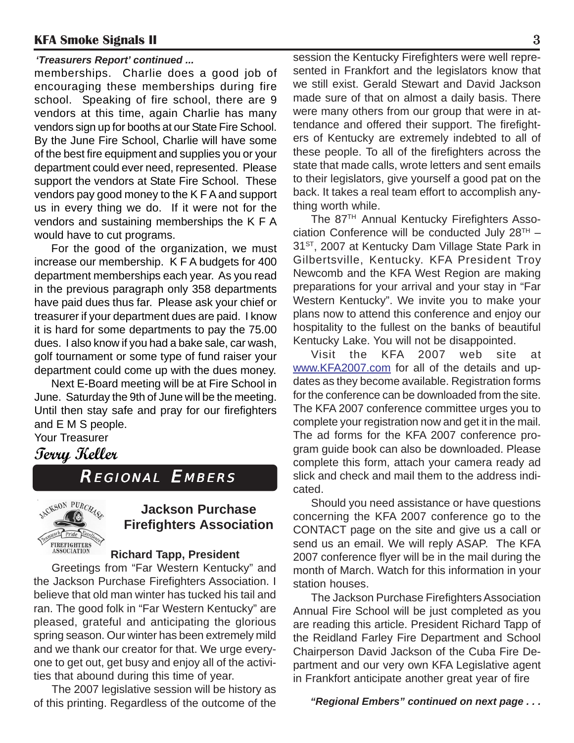#### *'Treasurers Report' continued ...*

memberships. Charlie does a good job of encouraging these memberships during fire school. Speaking of fire school, there are 9 vendors at this time, again Charlie has many vendors sign up for booths at our State Fire School. By the June Fire School, Charlie will have some of the best fire equipment and supplies you or your department could ever need, represented. Please support the vendors at State Fire School. These vendors pay good money to the K F A and support us in every thing we do. If it were not for the vendors and sustaining memberships the K F A would have to cut programs.

For the good of the organization, we must increase our membership. K F A budgets for 400 department memberships each year. As you read in the previous paragraph only 358 departments have paid dues thus far. Please ask your chief or treasurer if your department dues are paid. I know it is hard for some departments to pay the 75.00 dues. I also know if you had a bake sale, car wash, golf tournament or some type of fund raiser your department could come up with the dues money.

Next E-Board meeting will be at Fire School in June. Saturday the 9th of June will be the meeting. Until then stay safe and pray for our firefighters and E M S people.

### Your Treasurer

### **Terry Keller**

REGIONAL EMBERS



### **Jackson Purchase Firefighters Association**

#### **Richard Tapp, President**

Greetings from "Far Western Kentucky" and the Jackson Purchase Firefighters Association. I believe that old man winter has tucked his tail and ran. The good folk in "Far Western Kentucky" are pleased, grateful and anticipating the glorious spring season. Our winter has been extremely mild and we thank our creator for that. We urge everyone to get out, get busy and enjoy all of the activities that abound during this time of year.

The 2007 legislative session will be history as of this printing. Regardless of the outcome of the session the Kentucky Firefighters were well represented in Frankfort and the legislators know that we still exist. Gerald Stewart and David Jackson made sure of that on almost a daily basis. There were many others from our group that were in attendance and offered their support. The firefighters of Kentucky are extremely indebted to all of these people. To all of the firefighters across the state that made calls, wrote letters and sent emails to their legislators, give yourself a good pat on the back. It takes a real team effort to accomplish anything worth while.

The 87TH Annual Kentucky Firefighters Association Conference will be conducted July  $28<sup>TH</sup>$  – 31<sup>ST</sup>, 2007 at Kentucky Dam Village State Park in Gilbertsville, Kentucky. KFA President Troy Newcomb and the KFA West Region are making preparations for your arrival and your stay in "Far Western Kentucky". We invite you to make your plans now to attend this conference and enjoy our hospitality to the fullest on the banks of beautiful Kentucky Lake. You will not be disappointed.

Visit the KFA 2007 web site at www.KFA2007.com for all of the details and updates as they become available. Registration forms for the conference can be downloaded from the site. The KFA 2007 conference committee urges you to complete your registration now and get it in the mail. The ad forms for the KFA 2007 conference program guide book can also be downloaded. Please complete this form, attach your camera ready ad slick and check and mail them to the address indicated.

Should you need assistance or have questions concerning the KFA 2007 conference go to the CONTACT page on the site and give us a call or send us an email. We will reply ASAP. The KFA 2007 conference flyer will be in the mail during the month of March. Watch for this information in your station houses.

The Jackson Purchase Firefighters Association Annual Fire School will be just completed as you are reading this article. President Richard Tapp of the Reidland Farley Fire Department and School Chairperson David Jackson of the Cuba Fire Department and our very own KFA Legislative agent in Frankfort anticipate another great year of fire

 *"Regional Embers" continued on next page . . .*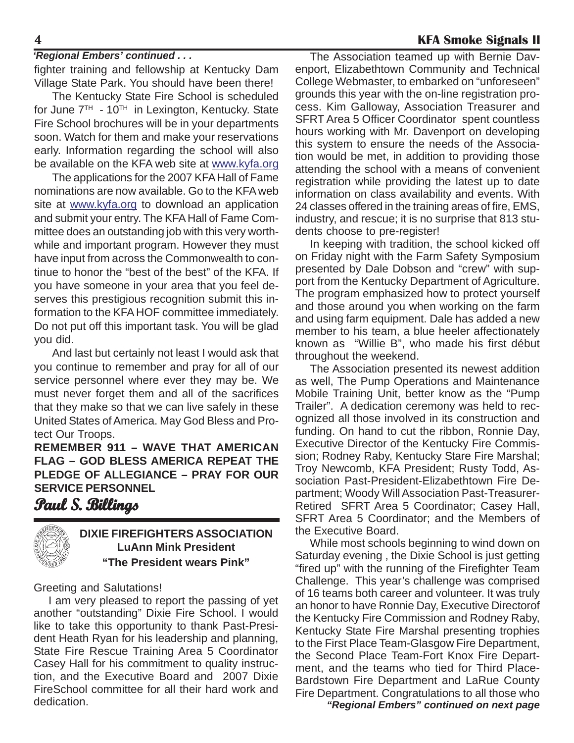#### *'Regional Embers' continued . . .*

fighter training and fellowship at Kentucky Dam Village State Park. You should have been there!

The Kentucky State Fire School is scheduled for June  $7<sup>TH</sup> - 10<sup>TH</sup>$  in Lexington, Kentucky. State Fire School brochures will be in your departments soon. Watch for them and make your reservations early. Information regarding the school will also be available on the KFA web site at www.kyfa.org

The applications for the 2007 KFA Hall of Fame nominations are now available. Go to the KFA web site at www.kyfa.org to download an application and submit your entry. The KFA Hall of Fame Committee does an outstanding job with this very worthwhile and important program. However they must have input from across the Commonwealth to continue to honor the "best of the best" of the KFA. If you have someone in your area that you feel deserves this prestigious recognition submit this information to the KFA HOF committee immediately. Do not put off this important task. You will be glad you did.

And last but certainly not least I would ask that you continue to remember and pray for all of our service personnel where ever they may be. We must never forget them and all of the sacrifices that they make so that we can live safely in these United States of America. May God Bless and Protect Our Troops.

**REMEMBER 911 – WAVE THAT AMERICAN FLAG – GOD BLESS AMERICA REPEAT THE PLEDGE OF ALLEGIANCE – PRAY FOR OUR SERVICE PERSONNEL**

### **Paul S. Billings .**



Greeting and Salutations!

I am very pleased to report the passing of yet another "outstanding" Dixie Fire School. I would like to take this opportunity to thank Past-President Heath Ryan for his leadership and planning, State Fire Rescue Training Area 5 Coordinator Casey Hall for his commitment to quality instruction, and the Executive Board and 2007 Dixie FireSchool committee for all their hard work and dedication.

The Association teamed up with Bernie Davenport, Elizabethtown Community and Technical College Webmaster, to embarked on "unforeseen" grounds this year with the on-line registration process. Kim Galloway, Association Treasurer and SFRT Area 5 Officer Coordinator spent countless hours working with Mr. Davenport on developing this system to ensure the needs of the Association would be met, in addition to providing those attending the school with a means of convenient registration while providing the latest up to date information on class availability and events. With 24 classes offered in the training areas of fire, EMS, industry, and rescue; it is no surprise that 813 students choose to pre-register!

In keeping with tradition, the school kicked off on Friday night with the Farm Safety Symposium presented by Dale Dobson and "crew" with support from the Kentucky Department of Agriculture. The program emphasized how to protect yourself and those around you when working on the farm and using farm equipment. Dale has added a new member to his team, a blue heeler affectionately known as "Willie B", who made his first début throughout the weekend.

The Association presented its newest addition as well, The Pump Operations and Maintenance Mobile Training Unit, better know as the "Pump Trailer". A dedication ceremony was held to recognized all those involved in its construction and funding. On hand to cut the ribbon, Ronnie Day, Executive Director of the Kentucky Fire Commission; Rodney Raby, Kentucky Stare Fire Marshal; Troy Newcomb, KFA President; Rusty Todd, Association Past-President-Elizabethtown Fire Department; Woody Will Association Past-Treasurer-Retired SFRT Area 5 Coordinator; Casey Hall, SFRT Area 5 Coordinator; and the Members of the Executive Board.

While most schools beginning to wind down on Saturday evening , the Dixie School is just getting "fired up" with the running of the Firefighter Team Challenge. This year's challenge was comprised of 16 teams both career and volunteer. It was truly an honor to have Ronnie Day, Executive Directorof the Kentucky Fire Commission and Rodney Raby, Kentucky State Fire Marshal presenting trophies to the First Place Team-Glasgow Fire Department, the Second Place Team-Fort Knox Fire Department, and the teams who tied for Third Place-Bardstown Fire Department and LaRue County Fire Department. Congratulations to all those who

*"Regional Embers" continued on next page*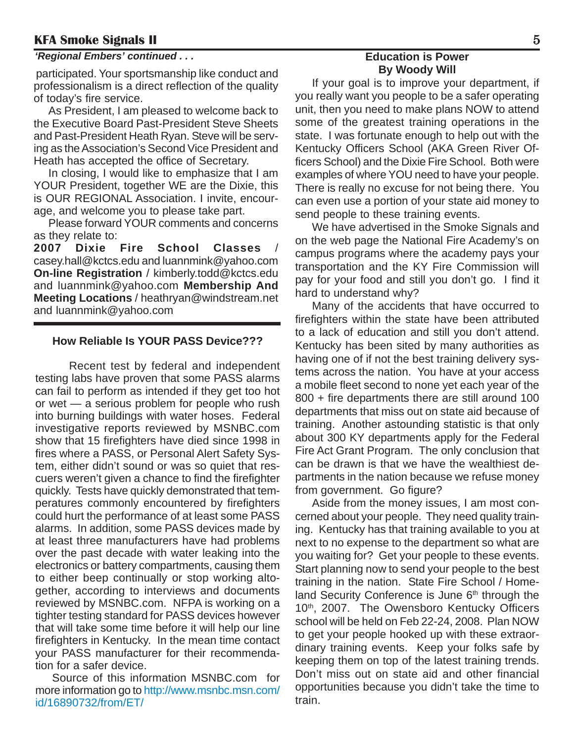#### *'Regional Embers' continued . . .* **Education is Power**

 participated. Your sportsmanship like conduct and professionalism is a direct reflection of the quality of today's fire service.

As President, I am pleased to welcome back to the Executive Board Past-President Steve Sheets and Past-President Heath Ryan. Steve will be serving as the Association's Second Vice President and Heath has accepted the office of Secretary.

In closing, I would like to emphasize that I am YOUR President, together WE are the Dixie, this is OUR REGIONAL Association. I invite, encourage, and welcome you to please take part.

Please forward YOUR comments and concerns as they relate to:

**2007 Dixie Fire School Classes** casey.hall@kctcs.edu and luannmink@yahoo.com **On-line Registration** / kimberly.todd@kctcs.edu and luannmink@yahoo.com **Membership And Meeting Locations** / heathryan@windstream.net and luannmink@yahoo.com

#### **How Reliable Is YOUR PASS Device???**

Recent test by federal and independent testing labs have proven that some PASS alarms can fail to perform as intended if they get too hot or wet — a serious problem for people who rush into burning buildings with water hoses. Federal investigative reports reviewed by MSNBC.com show that 15 firefighters have died since 1998 in fires where a PASS, or Personal Alert Safety System, either didn't sound or was so quiet that rescuers weren't given a chance to find the firefighter quickly. Tests have quickly demonstrated that temperatures commonly encountered by firefighters could hurt the performance of at least some PASS alarms. In addition, some PASS devices made by at least three manufacturers have had problems over the past decade with water leaking into the electronics or battery compartments, causing them to either beep continually or stop working altogether, according to interviews and documents reviewed by MSNBC.com. NFPA is working on a tighter testing standard for PASS devices however that will take some time before it will help our line firefighters in Kentucky. In the mean time contact your PASS manufacturer for their recommendation for a safer device.

Source of this information MSNBC.com for more information go to http://www.msnbc.msn.com/ id/16890732/from/ET/

# **By Woody Will**

If your goal is to improve your department, if you really want you people to be a safer operating unit, then you need to make plans NOW to attend some of the greatest training operations in the state. I was fortunate enough to help out with the Kentucky Officers School (AKA Green River Officers School) and the Dixie Fire School. Both were examples of where YOU need to have your people. There is really no excuse for not being there. You can even use a portion of your state aid money to send people to these training events.

We have advertised in the Smoke Signals and on the web page the National Fire Academy's on campus programs where the academy pays your transportation and the KY Fire Commission will pay for your food and still you don't go. I find it hard to understand why?

Many of the accidents that have occurred to firefighters within the state have been attributed to a lack of education and still you don't attend. Kentucky has been sited by many authorities as having one of if not the best training delivery systems across the nation. You have at your access a mobile fleet second to none yet each year of the 800 + fire departments there are still around 100 departments that miss out on state aid because of training. Another astounding statistic is that only about 300 KY departments apply for the Federal Fire Act Grant Program. The only conclusion that can be drawn is that we have the wealthiest departments in the nation because we refuse money from government. Go figure?

Aside from the money issues, I am most concerned about your people. They need quality training. Kentucky has that training available to you at next to no expense to the department so what are you waiting for? Get your people to these events. Start planning now to send your people to the best training in the nation. State Fire School / Homeland Security Conference is June  $6<sup>th</sup>$  through the 10<sup>th</sup>, 2007. The Owensboro Kentucky Officers school will be held on Feb 22-24, 2008. Plan NOW to get your people hooked up with these extraordinary training events. Keep your folks safe by keeping them on top of the latest training trends. Don't miss out on state aid and other financial opportunities because you didn't take the time to train.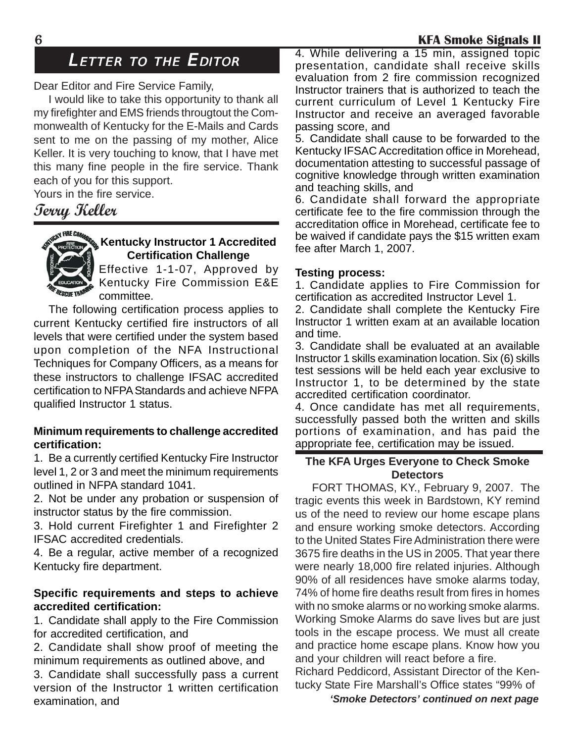### LETTER TO THE EDITOR

Dear Editor and Fire Service Family,

I would like to take this opportunity to thank all my firefighter and EMS friends througtout the Commonwealth of Kentucky for the E-Mails and Cards sent to me on the passing of my mother, Alice Keller. It is very touching to know, that I have met this many fine people in the fire service. Thank each of you for this support.

Yours in the fire service.

### **Terry Keller**



### **Kentucky Instructor 1 Accredited Certification Challenge**

Effective 1-1-07, Approved by Kentucky Fire Commission E&E committee.

The following certification process applies to current Kentucky certified fire instructors of all levels that were certified under the system based upon completion of the NFA Instructional Techniques for Company Officers, as a means for these instructors to challenge IFSAC accredited certification to NFPA Standards and achieve NFPA qualified Instructor 1 status.

#### **Minimum requirements to challenge accredited certification:**

1. Be a currently certified Kentucky Fire Instructor level 1, 2 or 3 and meet the minimum requirements outlined in NFPA standard 1041.

2. Not be under any probation or suspension of instructor status by the fire commission.

3. Hold current Firefighter 1 and Firefighter 2 IFSAC accredited credentials.

4. Be a regular, active member of a recognized Kentucky fire department.

### **Specific requirements and steps to achieve accredited certification:**

1. Candidate shall apply to the Fire Commission for accredited certification, and

2. Candidate shall show proof of meeting the minimum requirements as outlined above, and

3. Candidate shall successfully pass a current version of the Instructor 1 written certification examination, and

4. While delivering a 15 min, assigned topic presentation, candidate shall receive skills evaluation from 2 fire commission recognized Instructor trainers that is authorized to teach the current curriculum of Level 1 Kentucky Fire Instructor and receive an averaged favorable passing score, and

5. Candidate shall cause to be forwarded to the Kentucky IFSAC Accreditation office in Morehead, documentation attesting to successful passage of cognitive knowledge through written examination and teaching skills, and

6. Candidate shall forward the appropriate certificate fee to the fire commission through the accreditation office in Morehead, certificate fee to be waived if candidate pays the \$15 written exam fee after March 1, 2007.

#### **Testing process:**

1. Candidate applies to Fire Commission for certification as accredited Instructor Level 1.

2. Candidate shall complete the Kentucky Fire Instructor 1 written exam at an available location and time.

3. Candidate shall be evaluated at an available Instructor 1 skills examination location. Six (6) skills test sessions will be held each year exclusive to Instructor 1, to be determined by the state accredited certification coordinator.

4. Once candidate has met all requirements, successfully passed both the written and skills portions of examination, and has paid the appropriate fee, certification may be issued.

### **The KFA Urges Everyone to Check Smoke Detectors**

FORT THOMAS, KY., February 9, 2007. The tragic events this week in Bardstown, KY remind us of the need to review our home escape plans and ensure working smoke detectors. According to the United States Fire Administration there were 3675 fire deaths in the US in 2005. That year there were nearly 18,000 fire related injuries. Although 90% of all residences have smoke alarms today, 74% of home fire deaths result from fires in homes with no smoke alarms or no working smoke alarms. Working Smoke Alarms do save lives but are just tools in the escape process. We must all create and practice home escape plans. Know how you and your children will react before a fire.

Richard Peddicord, Assistant Director of the Kentucky State Fire Marshall's Office states "99% of

*'Smoke Detectors' continued on next page*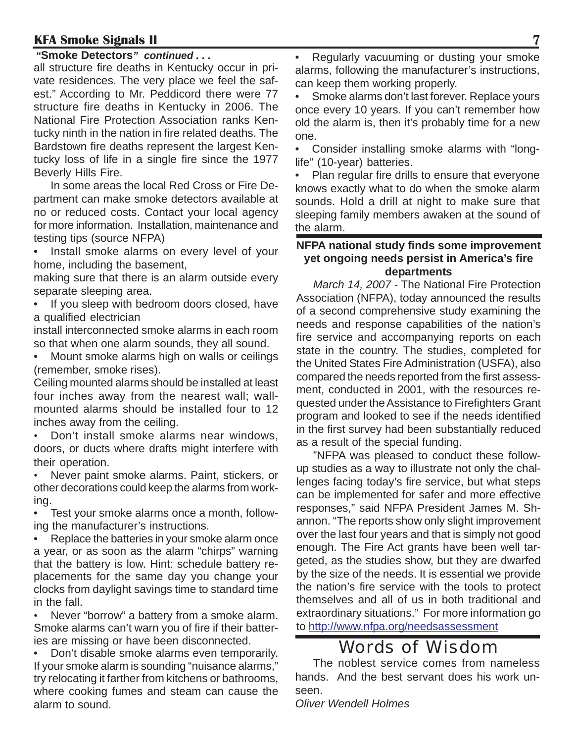### *"***Smoke Detectors***" continued . . .*

all structure fire deaths in Kentucky occur in private residences. The very place we feel the safest." According to Mr. Peddicord there were 77 structure fire deaths in Kentucky in 2006. The National Fire Protection Association ranks Kentucky ninth in the nation in fire related deaths. The Bardstown fire deaths represent the largest Kentucky loss of life in a single fire since the 1977 Beverly Hills Fire.

In some areas the local Red Cross or Fire Department can make smoke detectors available at no or reduced costs. Contact your local agency for more information. Installation, maintenance and testing tips (source NFPA)

• Install smoke alarms on every level of your home, including the basement,

making sure that there is an alarm outside every separate sleeping area.

• If you sleep with bedroom doors closed, have a qualified electrician

install interconnected smoke alarms in each room so that when one alarm sounds, they all sound.

• Mount smoke alarms high on walls or ceilings (remember, smoke rises).

Ceiling mounted alarms should be installed at least four inches away from the nearest wall; wallmounted alarms should be installed four to 12 inches away from the ceiling.

• Don't install smoke alarms near windows, doors, or ducts where drafts might interfere with their operation.

• Never paint smoke alarms. Paint, stickers, or other decorations could keep the alarms from working.

• Test your smoke alarms once a month, following the manufacturer's instructions.

Replace the batteries in your smoke alarm once a year, or as soon as the alarm "chirps" warning that the battery is low. Hint: schedule battery replacements for the same day you change your clocks from daylight savings time to standard time in the fall.

• Never "borrow" a battery from a smoke alarm. Smoke alarms can't warn you of fire if their batteries are missing or have been disconnected.

• Don't disable smoke alarms even temporarily. If your smoke alarm is sounding "nuisance alarms," try relocating it farther from kitchens or bathrooms, where cooking fumes and steam can cause the alarm to sound.

• Regularly vacuuming or dusting your smoke alarms, following the manufacturer's instructions, can keep them working properly.

• Smoke alarms don't last forever. Replace yours once every 10 years. If you can't remember how old the alarm is, then it's probably time for a new one.

• Consider installing smoke alarms with "longlife" (10-year) batteries.

Plan regular fire drills to ensure that everyone knows exactly what to do when the smoke alarm sounds. Hold a drill at night to make sure that sleeping family members awaken at the sound of the alarm.

### **NFPA national study finds some improvement yet ongoing needs persist in America's fire departments**

*March 14, 2007* - The National Fire Protection Association (NFPA), today announced the results of a second comprehensive study examining the needs and response capabilities of the nation's fire service and accompanying reports on each state in the country. The studies, completed for the United States Fire Administration (USFA), also compared the needs reported from the first assessment, conducted in 2001, with the resources requested under the Assistance to Firefighters Grant program and looked to see if the needs identified in the first survey had been substantially reduced as a result of the special funding.

"NFPA was pleased to conduct these followup studies as a way to illustrate not only the challenges facing today's fire service, but what steps can be implemented for safer and more effective responses," said NFPA President James M. Shannon. "The reports show only slight improvement over the last four years and that is simply not good enough. The Fire Act grants have been well targeted, as the studies show, but they are dwarfed by the size of the needs. It is essential we provide the nation's fire service with the tools to protect themselves and all of us in both traditional and extraordinary situations." For more information go to http://www.nfpa.org/needsassessment

## Words of Wisdom

The noblest service comes from nameless hands. And the best servant does his work unseen.

*Oliver Wendell Holmes*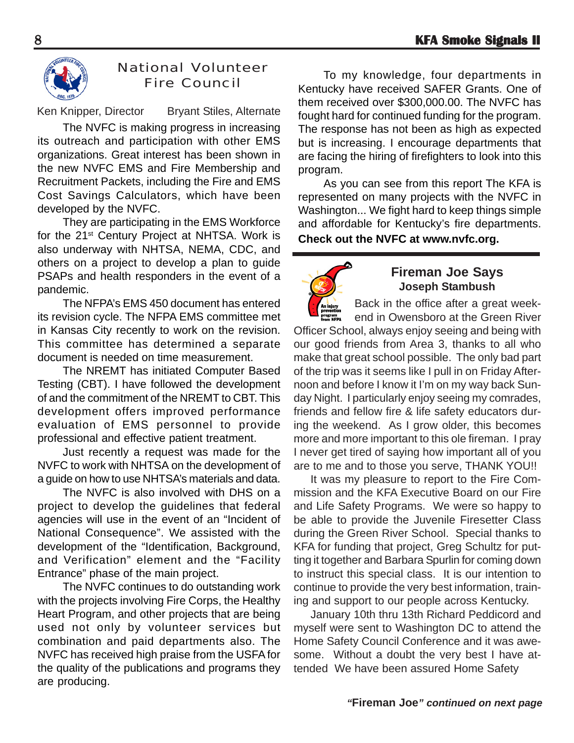

### National Volunteer Fire Council

Ken Knipper, Director Bryant Stiles, Alternate

The NVFC is making progress in increasing its outreach and participation with other EMS organizations. Great interest has been shown in the new NVFC EMS and Fire Membership and Recruitment Packets, including the Fire and EMS Cost Savings Calculators, which have been developed by the NVFC.

They are participating in the EMS Workforce for the 21st Century Project at NHTSA. Work is also underway with NHTSA, NEMA, CDC, and others on a project to develop a plan to guide PSAPs and health responders in the event of a pandemic.

The NFPA's EMS 450 document has entered its revision cycle. The NFPA EMS committee met in Kansas City recently to work on the revision. This committee has determined a separate document is needed on time measurement.

The NREMT has initiated Computer Based Testing (CBT). I have followed the development of and the commitment of the NREMT to CBT. This development offers improved performance evaluation of EMS personnel to provide professional and effective patient treatment.

Just recently a request was made for the NVFC to work with NHTSA on the development of a guide on how to use NHTSA's materials and data.

The NVFC is also involved with DHS on a project to develop the guidelines that federal agencies will use in the event of an "Incident of National Consequence". We assisted with the development of the "Identification, Background, and Verification" element and the "Facility Entrance" phase of the main project.

The NVFC continues to do outstanding work with the projects involving Fire Corps, the Healthy Heart Program, and other projects that are being used not only by volunteer services but combination and paid departments also. The NVFC has received high praise from the USFA for the quality of the publications and programs they are producing.

To my knowledge, four departments in Kentucky have received SAFER Grants. One of them received over \$300,000.00. The NVFC has fought hard for continued funding for the program. The response has not been as high as expected but is increasing. I encourage departments that are facing the hiring of firefighters to look into this program.

As you can see from this report The KFA is represented on many projects with the NVFC in Washington... We fight hard to keep things simple and affordable for Kentucky's fire departments. **Check out the NVFC at www.nvfc.org.**



### **Fireman Joe Says Joseph Stambush**

Back in the office after a great weekend in Owensboro at the Green River Officer School, always enjoy seeing and being with our good friends from Area 3, thanks to all who make that great school possible. The only bad part of the trip was it seems like I pull in on Friday Afternoon and before I know it I'm on my way back Sunday Night. I particularly enjoy seeing my comrades, friends and fellow fire & life safety educators during the weekend. As I grow older, this becomes more and more important to this ole fireman. I pray I never get tired of saying how important all of you are to me and to those you serve, THANK YOU!!

It was my pleasure to report to the Fire Commission and the KFA Executive Board on our Fire and Life Safety Programs. We were so happy to be able to provide the Juvenile Firesetter Class during the Green River School. Special thanks to KFA for funding that project, Greg Schultz for putting it together and Barbara Spurlin for coming down to instruct this special class. It is our intention to continue to provide the very best information, training and support to our people across Kentucky.

January 10th thru 13th Richard Peddicord and myself were sent to Washington DC to attend the Home Safety Council Conference and it was awesome. Without a doubt the very best I have attended We have been assured Home Safety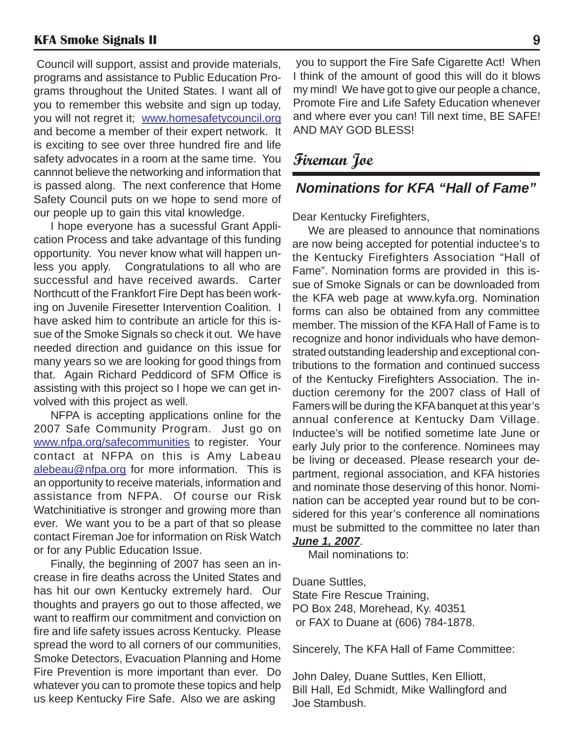Council will support, assist and provide materials, programs and assistance to Public Education Programs throughout the United States. I want all of you to remember this website and sign up today, you will not regret it; www.homesafetycouncil.org and become a member of their expert network. It is exciting to see over three hundred fire and life safety advocates in a room at the same time. You cannnot believe the networking and information that is passed along. The next conference that Home Safety Council puts on we hope to send more of our people up to gain this vital knowledge.

I hope everyone has a sucessful Grant Application Process and take advantage of this funding opportunity. You never know what will happen unless you apply. Congratulations to all who are successful and have received awards. Carter Northcutt of the Frankfort Fire Dept has been working on Juvenile Firesetter Intervention Coalition. I have asked him to contribute an article for this issue of the Smoke Signals so check it out. We have needed direction and guidance on this issue for many years so we are looking for good things from that. Again Richard Peddicord of SFM Office is assisting with this project so I hope we can get involved with this project as well.

NFPA is accepting applications online for the 2007 Safe Community Program. Just go on www.nfpa.org/safecommunities to register. Your contact at NFPA on this is Amy Labeau alebeau@nfpa.org for more information. This is an opportunity to receive materials, information and assistance from NFPA. Of course our Risk Watchinitiative is stronger and growing more than ever. We want you to be a part of that so please contact Fireman Joe for information on Risk Watch or for any Public Education Issue.

Finally, the beginning of 2007 has seen an increase in fire deaths across the United States and has hit our own Kentucky extremely hard. Our thoughts and prayers go out to those affected, we want to reaffirm our commitment and conviction on fire and life safety issues across Kentucky. Please spread the word to all corners of our communities, Smoke Detectors, Evacuation Planning and Home Fire Prevention is more important than ever. Do whatever you can to promote these topics and help us keep Kentucky Fire Safe. Also we are asking

 you to support the Fire Safe Cigarette Act! When I think of the amount of good this will do it blows my mind! We have got to give our people a chance, Promote Fire and Life Safety Education whenever and where ever you can! Till next time, BE SAFE! AND MAY GOD BLESS!

## **Fireman Joe**

### *Nominations for KFA "Hall of Fame"*

Dear Kentucky Firefighters,

We are pleased to announce that nominations are now being accepted for potential inductee's to the Kentucky Firefighters Association "Hall of Fame". Nomination forms are provided in this issue of Smoke Signals or can be downloaded from the KFA web page at www.kyfa.org. Nomination forms can also be obtained from any committee member. The mission of the KFA Hall of Fame is to recognize and honor individuals who have demonstrated outstanding leadership and exceptional contributions to the formation and continued success of the Kentucky Firefighters Association. The induction ceremony for the 2007 class of Hall of Famers will be during the KFA banquet at this year's annual conference at Kentucky Dam Village. Inductee's will be notified sometime late June or early July prior to the conference. Nominees may be living or deceased. Please research your department, regional association, and KFA histories and nominate those deserving of this honor. Nomination can be accepted year round but to be considered for this year's conference all nominations must be submitted to the committee no later than *June 1, 2007*.

Mail nominations to:

Duane Suttles, State Fire Rescue Training, PO Box 248, Morehead, Ky. 40351 or FAX to Duane at (606) 784-1878.

Sincerely, The KFA Hall of Fame Committee:

John Daley, Duane Suttles, Ken Elliott, Bill Hall, Ed Schmidt, Mike Wallingford and Joe Stambush.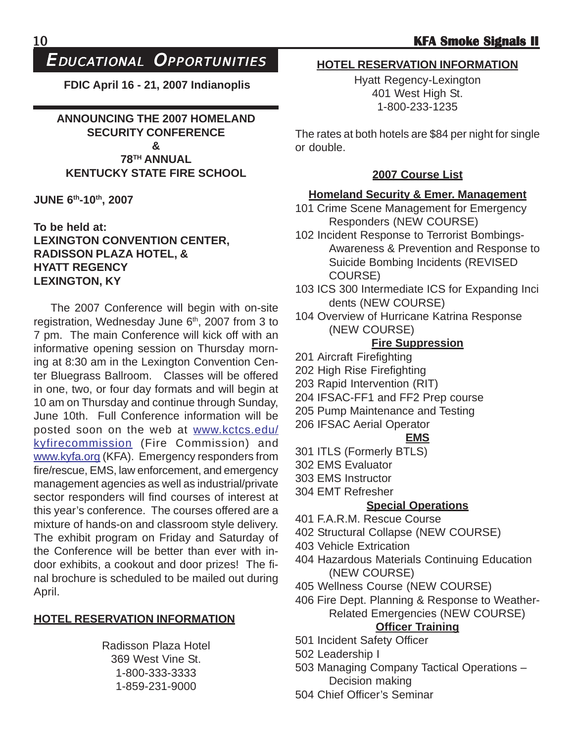### EDUCATIONAL OPPORTUNITIES

**FDIC April 16 - 21, 2007 Indianoplis**

**ANNOUNCING THE 2007 HOMELAND SECURITY CONFERENCE & 78TH ANNUAL KENTUCKY STATE FIRE SCHOOL**

**JUNE 6th-10th, 2007**

### **To be held at: LEXINGTON CONVENTION CENTER, RADISSON PLAZA HOTEL, & HYATT REGENCY LEXINGTON, KY**

The 2007 Conference will begin with on-site registration, Wednesday June 6<sup>th</sup>, 2007 from 3 to 7 pm. The main Conference will kick off with an informative opening session on Thursday morning at 8:30 am in the Lexington Convention Center Bluegrass Ballroom. Classes will be offered in one, two, or four day formats and will begin at 10 am on Thursday and continue through Sunday, June 10th. Full Conference information will be posted soon on the web at www.kctcs.edu/ kyfirecommission (Fire Commission) and www.kyfa.org (KFA). Emergency responders from fire/rescue, EMS, law enforcement, and emergency management agencies as well as industrial/private sector responders will find courses of interest at this year's conference. The courses offered are a mixture of hands-on and classroom style delivery. The exhibit program on Friday and Saturday of the Conference will be better than ever with indoor exhibits, a cookout and door prizes! The final brochure is scheduled to be mailed out during April.

### **HOTEL RESERVATION INFORMATION**

Radisson Plaza Hotel 369 West Vine St. 1-800-333-3333 1-859-231-9000

### **HOTEL RESERVATION INFORMATION**

Hyatt Regency-Lexington 401 West High St. 1-800-233-1235

The rates at both hotels are \$84 per night for single or double.

### **2007 Course List**

### **Homeland Security & Emer. Management**

- 101 Crime Scene Management for Emergency Responders (NEW COURSE)
- 102 Incident Response to Terrorist Bombings-Awareness & Prevention and Response to Suicide Bombing Incidents (REVISED COURSE)
- 103 ICS 300 Intermediate ICS for Expanding Inci dents (NEW COURSE)
- 104 Overview of Hurricane Katrina Response (NEW COURSE)

### **Fire Suppression**

- 201 Aircraft Firefighting
- 202 High Rise Firefighting
- 203 Rapid Intervention (RIT)
- 204 IFSAC-FF1 and FF2 Prep course
- 205 Pump Maintenance and Testing
- 206 IFSAC Aerial Operator

### **EMS**

- 301 ITLS (Formerly BTLS)
- 302 EMS Evaluator
- 303 EMS Instructor
- 304 EMT Refresher

### **Special Operations**

- 401 F.A.R.M. Rescue Course
- 402 Structural Collapse (NEW COURSE)
- 403 Vehicle Extrication
- 404 Hazardous Materials Continuing Education (NEW COURSE)
- 405 Wellness Course (NEW COURSE)
- 406 Fire Dept. Planning & Response to Weather-Related Emergencies (NEW COURSE)

### **Officer Training**

- 501 Incident Safety Officer
- 502 Leadership I
- 503 Managing Company Tactical Operations Decision making
- 504 Chief Officer's Seminar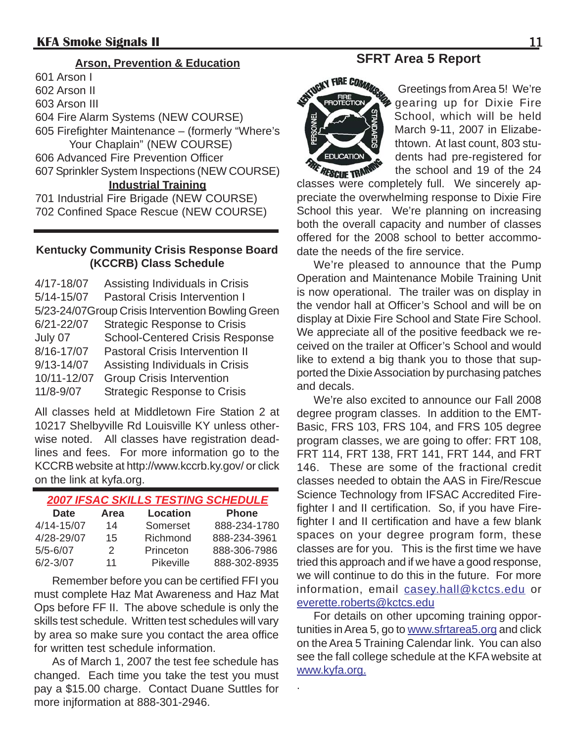601 Arson I 602 Arson II 603 Arson III 604 Fire Alarm Systems (NEW COURSE) 605 Firefighter Maintenance – (formerly "Where's Your Chaplain" (NEW COURSE) 606 Advanced Fire Prevention Officer 607 Sprinkler System Inspections (NEW COURSE) **Industrial Training** 701 Industrial Fire Brigade (NEW COURSE) 702 Confined Space Rescue (NEW COURSE)

### **Kentucky Community Crisis Response Board (KCCRB) Class Schedule**

4/17-18/07 Assisting Individuals in Crisis 5/14-15/07 Pastoral Crisis Intervention I 5/23-24/07Group Crisis Intervention Bowling Green 6/21-22/07 Strategic Response to Crisis July 07 School-Centered Crisis Response 8/16-17/07 Pastoral Crisis Intervention II 9/13-14/07 Assisting Individuals in Crisis 10/11-12/07 Group Crisis Intervention 11/8-9/07 Strategic Response to Crisis

All classes held at Middletown Fire Station 2 at 10217 Shelbyville Rd Louisville KY unless otherwise noted. All classes have registration deadlines and fees. For more information go to the KCCRB website at http://www.kccrb.ky.gov/ or click on the link at kyfa.org.

### *2007 IFSAC SKILLS TESTING SCHEDULE*

| Date         | Area          | <b>Location</b>  | <b>Phone</b> |
|--------------|---------------|------------------|--------------|
| 4/14-15/07   | 14            | Somerset         | 888-234-1780 |
| 4/28-29/07   | 15            | Richmond         | 888-234-3961 |
| $5/5 - 6/07$ | $\mathcal{P}$ | Princeton        | 888-306-7986 |
| $6/2 - 3/07$ | 11            | <b>Pikeville</b> | 888-302-8935 |

Remember before you can be certified FFI you must complete Haz Mat Awareness and Haz Mat Ops before FF II. The above schedule is only the skills test schedule. Written test schedules will vary by area so make sure you contact the area office for written test schedule information.

As of March 1, 2007 the test fee schedule has changed. Each time you take the test you must pay a \$15.00 charge. Contact Duane Suttles for more injformation at 888-301-2946.

### **Arson, Prevention & Education SFRT Area 5 Report**



Greetings from Area 5! We're gearing up for Dixie Fire School, which will be held March 9-11, 2007 in Elizabethtown. At last count, 803 students had pre-registered for the school and 19 of the 24

classes were completely full. We sincerely appreciate the overwhelming response to Dixie Fire School this year. We're planning on increasing both the overall capacity and number of classes offered for the 2008 school to better accommodate the needs of the fire service.

We're pleased to announce that the Pump Operation and Maintenance Mobile Training Unit is now operational. The trailer was on display in the vendor hall at Officer's School and will be on display at Dixie Fire School and State Fire School. We appreciate all of the positive feedback we received on the trailer at Officer's School and would like to extend a big thank you to those that supported the Dixie Association by purchasing patches and decals.

We're also excited to announce our Fall 2008 degree program classes. In addition to the EMT-Basic, FRS 103, FRS 104, and FRS 105 degree program classes, we are going to offer: FRT 108, FRT 114, FRT 138, FRT 141, FRT 144, and FRT 146. These are some of the fractional credit classes needed to obtain the AAS in Fire/Rescue Science Technology from IFSAC Accredited Firefighter I and II certification. So, if you have Firefighter I and II certification and have a few blank spaces on your degree program form, these classes are for you. This is the first time we have tried this approach and if we have a good response, we will continue to do this in the future. For more information, email casey.hall@kctcs.edu or everette.roberts@kctcs.edu

For details on other upcoming training opportunities in Area 5, go to www.sfrtarea5.org and click on the Area 5 Training Calendar link. You can also see the fall college schedule at the KFA website at www.kyfa.org.

.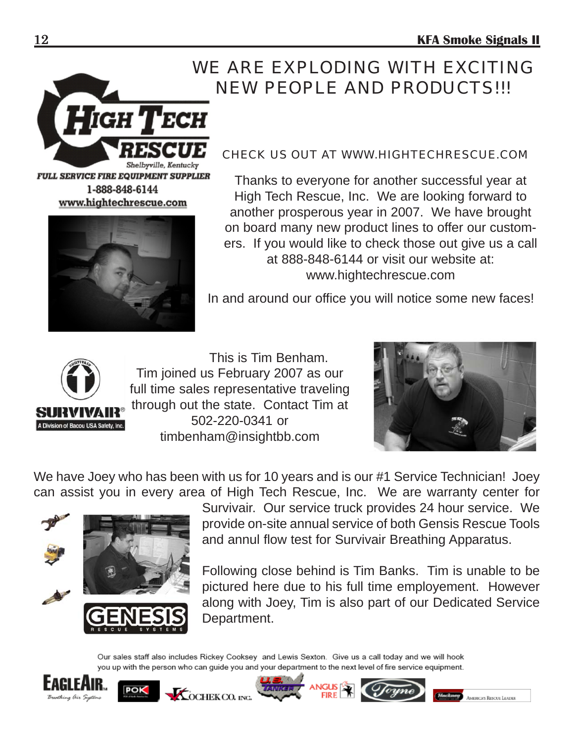# WE ARE EXPLODING WITH EXCITING NEW PEOPLE AND PRODUCTS!!!



**FULL SERVICE FIRE EQUIPMENT SUPPLIER** 1-888-848-6144 www.hightechrescue.com



### CHECK US OUT AT WWW.HIGHTECHRESCUE.COM

Thanks to everyone for another successful year at High Tech Rescue, Inc. We are looking forward to another prosperous year in 2007. We have brought on board many new product lines to offer our customers. If you would like to check those out give us a call at 888-848-6144 or visit our website at: www.hightechrescue.com

In and around our office you will notice some new faces!



This is Tim Benham. Tim joined us February 2007 as our full time sales representative traveling through out the state. Contact Tim at 502-220-0341 or timbenham@insightbb.com



**CAS Rescue Leader** 

We have Joey who has been with us for 10 years and is our #1 Service Technician! Joey can assist you in every area of High Tech Rescue, Inc. We are warranty center for



Survivair. Our service truck provides 24 hour service. We provide on-site annual service of both Gensis Rescue Tools and annul flow test for Survivair Breathing Apparatus.

Following close behind is Tim Banks. Tim is unable to be pictured here due to his full time employement. However along with Joey, Tim is also part of our Dedicated Service Department.

Our sales staff also includes Rickey Cooksey and Lewis Sexton. Give us a call today and we will hook you up with the person who can guide you and your department to the next level of fire service equipment.





**KOCHEKCO.** INC.

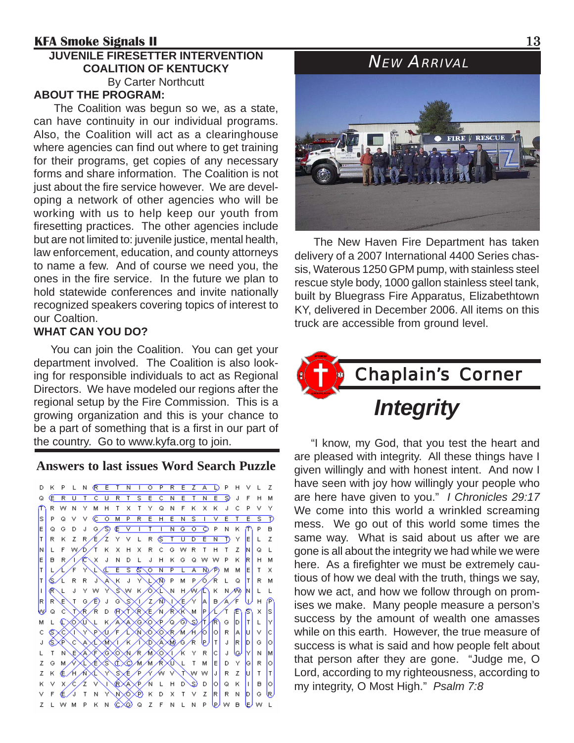#### **KFA Smoke Signals II** 13 **JUVENILE FIRESETTER INTERVENTION COALITION OF KENTUCKY** By Carter Northcutt **ABOUT THE PROGRAM:**

The Coalition was begun so we, as a state, can have continuity in our individual programs. Also, the Coalition will act as a clearinghouse where agencies can find out where to get training for their programs, get copies of any necessary forms and share information. The Coalition is not just about the fire service however. We are developing a network of other agencies who will be working with us to help keep our youth from firesetting practices. The other agencies include but are not limited to: juvenile justice, mental health, law enforcement, education, and county attorneys to name a few. And of course we need you, the ones in the fire service. In the future we plan to hold statewide conferences and invite nationally recognized speakers covering topics of interest to our Coaltion.

### **WHAT CAN YOU DO?**

You can join the Coalition. You can get your department involved. The Coalition is also looking for responsible individuals to act as Regional Directors. We have modeled our regions after the regional setup by the Fire Commission. This is a growing organization and this is your chance to be a part of something that is a first in our part of the country. Go to www.kyfa.org to join.

### **Answers to last issues Word Search Puzzle**

D K P L N R E T N I O P R E Z A L P H V L Z Q E R U T C U R T S E C N E T N E S J F H M R W N Y M H T X T Y Q N F K X K J C P V Y PQVV COMPREHENSIVETEST) ls. Q G D J G S E V I T I N G O O P N K lE. P B R K Z R E Z Y V L R <u>S T U D E N</u> Iт T) Y E  $L$   $Z$ F W D T K X H X R C G W R  $H$ IΝ  $\mathsf L$  $T$  $\mathsf{T}$ Z.  $Q = L$ X J N D L J H K G Q lЕ B<sub>R</sub> ∕∖ ∕€ w w  $\overline{P}$ K. lR I  $H$  M  $S$   $S$   $O$   $N$  $M$ M  $\mathsf{E}$  $T - X$  $\overline{E}$  $\overline{\phantom{a}}$  P τ  $\overline{\mathbb{A}}$ M  $\mathsf{R}\setminus\mathsf{R}$  . KJYLXOPMPORLQ 6  $|\tau|$ R M Æ - J J Y W YSW KOXL N H WA K N M N  $L$   $L$ € I۱ JG/E)JG\SXI/Z/Ñ\IXE Ń  $B/F$ 1A I Wн JXR/R D (FIXTXRXE/N/RXR\M |P|X/T (E)  $\chi$ ls. n.  $\vert$ t $\vert$  $\mathsf{L}$ İ٧ М  $\mathsf{L}$ **SEXTYPXUFAXIXOXEMH/6**  $\mathsf C$  $|0|R|A|$ юI  $\vee$  $\vert c \vert$ ╲Ċ<sub>Ŕ</sub>⋋Ĺ⋋Ň⋌౹*⋌*ӄ⋌⋎⋋Ď⋋Á⋋Ŵ⋌6⋌Ŕ▕<u></u>₽  $J|R|$  $|_{\mathsf{D}}|$  $|\tau|$ le lo J ©XF NEXAXEXOXNA MXOXI/KYR [c] لوال М 'М L  $T$ N MAXXXXXXXXXXMAAXIXLTM  $\overline{\circ}$ le l z G  $D Y |G|$  $\mathsf R$ EHAX YSEP AN VT Iт IJ۱ K w w  $\mathsf R$  $|z|$   $|u|$  $\mathsf{T}$ Z X C Z V NRXAXP N L H D S D ЮI  $\circ$   $\kappa$   $\vert\vert\vert$ lol  $\vee$  $\blacksquare$ K. FE/J T N Y N Ø K D X T V Z  $\lvert \mathsf{R} \rvert$ R N D G. k, M Z L W M P K N © © Q Z F N L N P D W B E W L



The New Haven Fire Department has taken delivery of a 2007 International 4400 Series chassis, Waterous 1250 GPM pump, with stainless steel rescue style body, 1000 gallon stainless steel tank, built by Bluegrass Fire Apparatus, Elizabethtown KY, delivered in December 2006. All items on this truck are accessible from ground level.



"I know, my God, that you test the heart and are pleased with integrity. All these things have I given willingly and with honest intent. And now I have seen with joy how willingly your people who are here have given to you." *I Chronicles 29:17* We come into this world a wrinkled screaming mess. We go out of this world some times the same way. What is said about us after we are gone is all about the integrity we had while we were here. As a firefighter we must be extremely cautious of how we deal with the truth, things we say, how we act, and how we follow through on promises we make. Many people measure a person's success by the amount of wealth one amasses while on this earth. However, the true measure of success is what is said and how people felt about that person after they are gone. "Judge me, O Lord, according to my righteousness, according to my integrity, O Most High." *Psalm 7:8*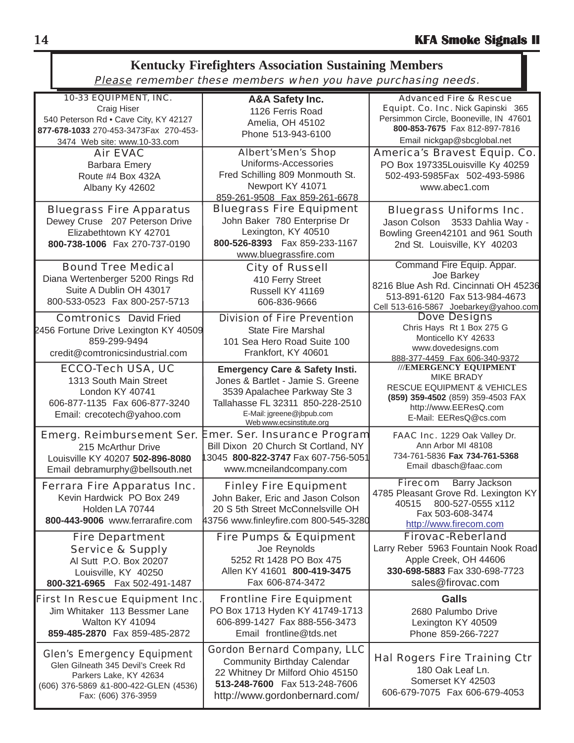#### 10-33 EQUIPMENT, INC. Craig Hiser 540 Peterson Rd • Cave City, KY 42127 **877-678-1033** 270-453-3473Fax 270-453- 3474 Web site: www.10-33.com Advanced Fire & Rescue Equipt. Co. Inc. Nick Gapinski 365 Persimmon Circle, Booneville, IN 47601 **800-853-7675** Fax 812-897-7816 Email nickgap@sbcglobal.net Bluegrass Fire Equipment John Baker 780 Enterprise Dr Lexington, KY 40510 **800-526-8393** Fax 859-233-1167 www.bluegrassfire.com **Kentucky Firefighters Association Sustaining Members** Please remember these members when you have purchasing needs. Emer. Ser. Insurance Program Bill Dixon 20 Church St Cortland, NY 13045 **800-822-3747** Fax 607-756-5051 www.mcneilandcompany.com Fire Department Service & Supply Al Sutt P.O. Box 20207 Louisville, KY 40250 **800-321-6965** Fax 502-491-1487 Hal Rogers Fire Training Ctr 180 Oak Leaf Ln. Somerset KY 42503 606-679-7075 Fax 606-679-4053 Air EVAC Barbara Emery Route #4 Box 432A Albany Ky 42602 Bluegrass Fire Apparatus Dewey Cruse 207 Peterson Drive Elizabethtown KY 42701 **800-738-1006** Fax 270-737-0190 Bluegrass Uniforms Inc. Jason Colson 3533 Dahlia Way - Bowling Green42101 and 961 South 2nd St. Louisville, KY 40203 Bound Tree Medical Diana Wertenberger 5200 Rings Rd Suite A Dublin OH 43017 800-533-0523 Fax 800-257-5713 Dove Designs Chris Hays Rt 1 Box 275 G Monticello KY 42633 www.dovedesigns.com 888-377-4459 Fax 606-340-9372 Ferrara Fire Apparatus Inc. Kevin Hardwick PO Box 249 Holden LA 70744 **800-443-9006** www.ferrarafire.com Fire Pumps & Equipment Joe Reynolds 5252 Rt 1428 PO Box 475 Allen KY 41601 **800-419-3475** Fax 606-874-3472 First In Rescue Equipment Inc. Jim Whitaker 113 Bessmer Lane Walton KY 41094 **859-485-2870** Fax 859-485-2872 Firecom Barry Jackson 4785 Pleasant Grove Rd. Lexington KY 40515 800-527-0555 x112 Fax 503-608-3474 http://www.firecom.com City of Russell 410 Ferry Street Russell KY 41169 606-836-9666 **///EMERGENCY EQUIPMENT** MIKE BRADY RESCUE EQUIPMENT & VEHICLES **(859) 359-4502** (859) 359-4503 FAX http://www.EEResQ.com E-Mail: EEResQ@cs.com Firovac-Reberland Larry Reber 5963 Fountain Nook Road Apple Creek, OH 44606 **330-698-5883** Fax 330-698-7723 sales@firovac.com Comtronics David Fried 2456 Fortune Drive Lexington KY 40509 859-299-9494 credit@comtronicsindustrial.com Finley Fire Equipment John Baker, Eric and Jason Colson 20 S 5th Street McConnelsville OH 43756 www.finleyfire.com 800-545-3280 Division of Fire Prevention State Fire Marshal 101 Sea Hero Road Suite 100 Frankfort, KY 40601 Gordon Bernard Company, LLC Community Birthday Calendar 22 Whitney Dr Milford Ohio 45150 **513-248-7600** Fax 513-248-7606 http://www.gordonbernard.com/ Emerg. Reimbursement Ser. 215 McArthur Drive Louisville KY 40207 **502-896-8080** Email debramurphy@bellsouth.net America's Bravest Equip. Co. PO Box 197335Louisville Ky 40259 502-493-5985Fax 502-493-5986 www.abec1.com FAAC Inc. 1229 Oak Valley Dr. Ann Arbor MI 48108 734-761-5836 **Fax 734-761-5368** Email dbasch@faac.com **Emergency Care & Safety Insti.** Jones & Bartlet - Jamie S. Greene 3539 Apalachee Parkway Ste 3 Tallahasse FL 32311 850-228-2510 E-Mail: jgreene@jbpub.com Web www.ecsinstitute.org **A&A Safety Inc.** 1126 Ferris Road Amelia, OH 45102 Phone 513-943-6100 **Galls** 2680 Palumbo Drive Lexington KY 40509 Phone 859-266-7227 ECCO-Tech USA, UC 1313 South Main Street London KY 40741 606-877-1135 Fax 606-877-3240 Email: crecotech@yahoo.com Command Fire Equip. Appar. Joe Barkey 8216 Blue Ash Rd. Cincinnati OH 45236 513-891-6120 Fax 513-984-4673 Cell 513-616-5867 Joebarkey@yahoo.com Albert'sMen's Shop Uniforms-Accessories Fred Schilling 809 Monmouth St. Newport KY 41071 859-261-9508 Fax 859-261-6678 Glen's Emergency Equipment Glen Gilneath 345 Devil's Creek Rd Parkers Lake, KY 42634 (606) 376-5869 &1-800-422-GLEN (4536) Fax: (606) 376-3959 Frontline Fire Equipment PO Box 1713 Hyden KY 41749-1713 606-899-1427 Fax 888-556-3473 Email frontline@tds.net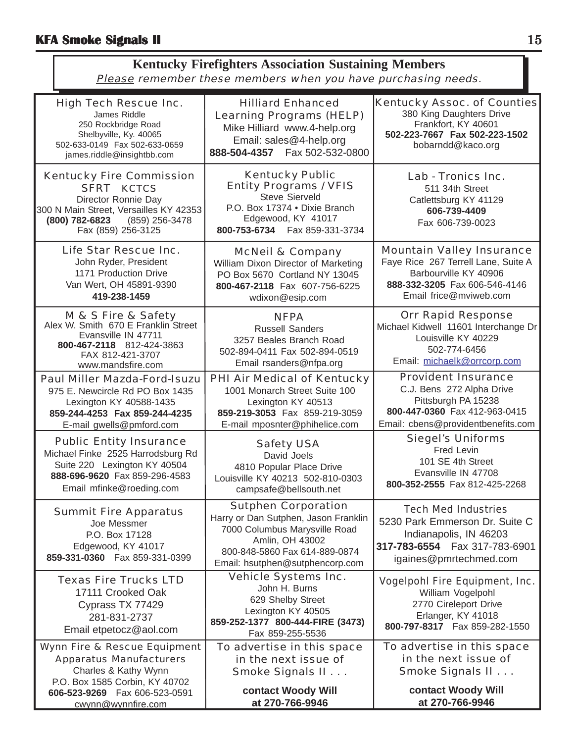| <b>Kentucky Firefighters Association Sustaining Members</b>   |  |  |
|---------------------------------------------------------------|--|--|
| Please remember these members when you have purchasing needs. |  |  |

| <b>High Tech Rescue Inc.</b><br>James Riddle<br>250 Rockbridge Road<br>Shelbyville, Ky. 40065<br>502-633-0149  Fax 502-633-0659<br>james.riddle@insightbb.com                   | <b>Hilliard Enhanced</b><br><b>Learning Programs (HELP)</b><br>Mike Hilliard www.4-help.org<br>Email: sales@4-help.org<br>888-504-4357    Fax 502-532-0800                                 | <b>Kentucky Assoc. of Counties</b><br>380 King Daughters Drive<br>Frankfort, KY 40601<br>502-223-7667 Fax 502-223-1502<br>bobarndd@kaco.org                 |  |  |  |
|---------------------------------------------------------------------------------------------------------------------------------------------------------------------------------|--------------------------------------------------------------------------------------------------------------------------------------------------------------------------------------------|-------------------------------------------------------------------------------------------------------------------------------------------------------------|--|--|--|
| <b>Kentucky Fire Commission</b><br><b>SFRT KCTCS</b><br>Director Ronnie Day<br>300 N Main Street, Versailles KY 42353<br>(800) 782-6823<br>(859) 256-3478<br>Fax (859) 256-3125 | <b>Kentucky Public</b><br><b>Entity Programs / VFIS</b><br>Steve Sierveld<br>P.O. Box 17374 . Dixie Branch<br>Edgewood, KY 41017<br>800-753-6734    Fax 859-331-3734                       | Lab - Tronics Inc.<br>511 34th Street<br>Catlettsburg KY 41129<br>606-739-4409<br>Fax 606-739-0023                                                          |  |  |  |
| Life Star Rescue Inc.<br>John Ryder, President<br>1171 Production Drive<br>Van Wert, OH 45891-9390<br>419-238-1459                                                              | <b>McNeil &amp; Company</b><br>William Dixon Director of Marketing<br>PO Box 5670 Cortland NY 13045<br>800-467-2118 Fax 607-756-6225<br>wdixon@esip.com                                    | <b>Mountain Valley Insurance</b><br>Faye Rice 267 Terrell Lane, Suite A<br>Barbourville KY 40906<br>888-332-3205 Fax 606-546-4146<br>Email frice@mviweb.com |  |  |  |
| M & S Fire & Safety<br>Alex W. Smith 670 E Franklin Street<br>Evansville IN 47711<br>800-467-2118 812-424-3863<br>FAX 812-421-3707<br>www.mandsfire.com                         | <b>NFPA</b><br><b>Russell Sanders</b><br>3257 Beales Branch Road<br>502-894-0411 Fax 502-894-0519<br>Email rsanders@nfpa.org                                                               | <b>Orr Rapid Response</b><br>Michael Kidwell 11601 Interchange Dr<br>Louisville KY 40229<br>502-774-6456<br>Email: michaelk@orrcorp.com                     |  |  |  |
| <b>Paul Miller Mazda-Ford-Isuzu</b><br>975 E. Newcircle Rd PO Box 1435<br>Lexington KY 40588-1435<br>859-244-4253 Fax 859-244-4235<br>E-mail gwells@pmford.com                  | <b>PHI Air Medical of Kentucky</b><br>1001 Monarch Street Suite 100<br>Lexington KY 40513<br>859-219-3053 Fax 859-219-3059<br>E-mail mposnter@phihelice.com                                | <b>Provident Insurance</b><br>C.J. Bens 272 Alpha Drive<br>Pittsburgh PA 15238<br>800-447-0360 Fax 412-963-0415<br>Email: cbens@providentbenefits.com       |  |  |  |
| <b>Public Entity Insurance</b><br>Michael Finke 2525 Harrodsburg Rd<br>Suite 220 Lexington KY 40504<br>888-696-9620 Fax 859-296-4583<br>Email mfinke@roeding.com                | <b>Safety USA</b><br>David Joels<br>4810 Popular Place Drive<br>Louisville KY 40213 502-810-0303<br>campsafe@bellsouth.net                                                                 | <b>Siegel's Uniforms</b><br>Fred Levin<br>101 SE 4th Street<br>Evansville IN 47708<br>800-352-2555 Fax 812-425-2268                                         |  |  |  |
| <b>Summit Fire Apparatus</b><br>Joe Messmer<br>P.O. Box 17128<br>Edgewood, KY 41017<br>859-331-0360  Fax 859-331-0399                                                           | <b>Sutphen Corporation</b><br>Harry or Dan Sutphen, Jason Franklin<br>7000 Columbus Marysville Road<br>Amlin, OH 43002<br>800-848-5860 Fax 614-889-0874<br>Email: hsutphen@sutphencorp.com | <b>Tech Med Industries</b><br>5230 Park Emmerson Dr. Suite C<br>Indianapolis, IN 46203<br>317-783-6554    Fax 317-783-6901<br>igaines@pmrtechmed.com        |  |  |  |
| <b>Texas Fire Trucks LTD</b><br>17111 Crooked Oak<br>Cyprass TX 77429<br>281-831-2737<br>Email etpetocz@aol.com                                                                 | <b>Vehicle Systems Inc.</b><br>John H. Burns<br>629 Shelby Street<br>Lexington KY 40505<br>859-252-1377 800-444-FIRE (3473)<br>Fax 859-255-5536                                            | <b>Vogelpohl Fire Equipment, Inc.</b><br>William Vogelpohl<br>2770 Cireleport Drive<br>Erlanger, KY 41018<br>800-797-8317  Fax 859-282-1550                 |  |  |  |
| <b>Wynn Fire &amp; Rescue Equipment</b><br><b>Apparatus Manufacturers</b><br>Charles & Kathy Wynn<br>P.O. Box 1585 Corbin, KY 40702                                             | To advertise in this space<br>in the next issue of<br>Smoke Signals II                                                                                                                     | To advertise in this space<br>in the next issue of<br>Smoke Signals II                                                                                      |  |  |  |
| 606-523-9269    Fax 606-523-0591<br>cwynn@wynnfire.com                                                                                                                          | contact Woody Will<br>at 270-766-9946                                                                                                                                                      | contact Woody Will<br>at 270-766-9946                                                                                                                       |  |  |  |